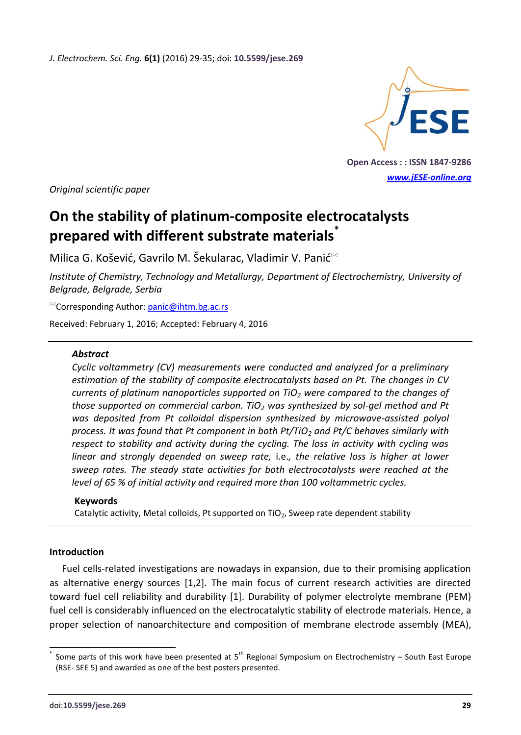*J. Electrochem. Sci. Eng.* **6(1)** (2016) 29-35; doi: **10.5599/jese.269**



**Open Access : : ISSN 1847-9286** *[www.jESE-online.org](http://www.jese-online.org/)*

*Original scientific paper*

# **On the stability of platinum-composite electrocatalysts prepared with different substrate materials\***

Milica G. Košević, Gavrilo M. Šekularac, Vladimir V. Panić

*Institute of Chemistry, Technology and Metallurgy, Department of Electrochemistry, University of Belgrade, Belgrade, Serbia*

<sup>⊠</sup>Corresponding Author: [panic@ihtm.bg.ac.rs](mailto:panic@ihtm.bg.ac.rs)

Received: February 1, 2016; Accepted: February 4, 2016

#### *Abstract*

*Cyclic voltammetry (CV) measurements were conducted and analyzed for a preliminary estimation of the stability of composite electrocatalysts based on Pt. The changes in CV currents of platinum nanoparticles supported on TiO<sup>2</sup> were compared to the changes of those supported on commercial carbon. TiO<sup>2</sup> was synthesized by sol-gel method and Pt was deposited from Pt colloidal dispersion synthesized by microwave-assisted polyol process. It was found that Pt component in both Pt/TiO<sup>2</sup> and Pt/C behaves similarly with respect to stability and activity during the cycling. The loss in activity with cycling was linear and strongly depended on sweep rate,* i.e.*, the relative loss is higher at lower sweep rates. The steady state activities for both electrocatalysts were reached at the level of 65 % of initial activity and required more than 100 voltammetric cycles.*

#### **Keywords**

Catalytic activity, Metal colloids, Pt supported on  $TiO<sub>2</sub>$ , Sweep rate dependent stability

### **Introduction**

 $\overline{a}$ 

Fuel cells-related investigations are nowadays in expansion, due to their promising application as alternative energy sources [1,2]. The main focus of current research activities are directed toward fuel cell reliability and durability [1]. Durability of polymer electrolyte membrane (PEM) fuel cell is considerably influenced on the electrocatalytic stability of electrode materials. Hence, a proper selection of nanoarchitecture and composition of membrane electrode assembly (MEA),

<sup>\*</sup> Some parts of this work have been presented at  $5<sup>th</sup>$  Regional Symposium on Electrochemistry – South East Europe (RSE- SEE 5) and awarded as one of the best posters presented.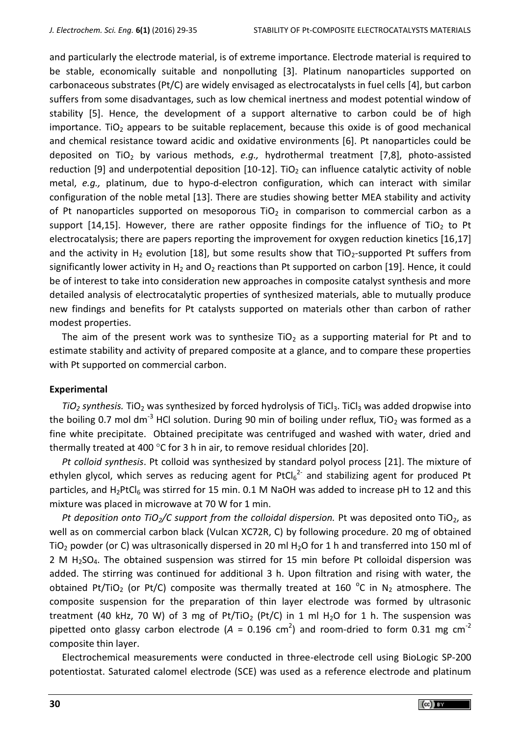and particularly the electrode material, is of extreme importance. Electrode material is required to be stable, economically suitable and nonpolluting [3]. Platinum nanoparticles supported on carbonaceous substrates (Pt/C) are widely envisaged as electrocatalysts in fuel cells [4], but carbon suffers from some disadvantages, such as low chemical inertness and modest potential window of stability [5]. Hence, the development of a support alternative to carbon could be of high importance. TiO<sub>2</sub> appears to be suitable replacement, because this oxide is of good mechanical and chemical resistance toward acidic and oxidative environments [6]. Pt nanoparticles could be deposited on TiO<sub>2</sub> by various methods, e.g., hydrothermal treatment [7,8], photo-assisted reduction [9] and underpotential deposition  $[10-12]$ . TiO<sub>2</sub> can influence catalytic activity of noble metal, *e.g.,* platinum, due to hypo-d-electron configuration, which can interact with similar configuration of the noble metal [13]. There are studies showing better MEA stability and activity of Pt nanoparticles supported on mesoporous TiO<sub>2</sub> in comparison to commercial carbon as a support [14,15]. However, there are rather opposite findings for the influence of TiO<sub>2</sub> to Pt electrocatalysis; there are papers reporting the improvement for oxygen reduction kinetics [16,17] and the activity in H<sub>2</sub> evolution [18], but some results show that TiO<sub>2</sub>-supported Pt suffers from significantly lower activity in  $H_2$  and  $O_2$  reactions than Pt supported on carbon [19]. Hence, it could be of interest to take into consideration new approaches in composite catalyst synthesis and more detailed analysis of electrocatalytic properties of synthesized materials, able to mutually produce new findings and benefits for Pt catalysts supported on materials other than carbon of rather modest properties.

The aim of the present work was to synthesize TiO<sub>2</sub> as a supporting material for Pt and to estimate stability and activity of prepared composite at a glance, and to compare these properties with Pt supported on commercial carbon.

#### **Experimental**

 $TiO<sub>2</sub>$  *synthesis.* TiO<sub>2</sub> was synthesized by forced hydrolysis of TiCl<sub>3</sub>. TiCl<sub>3</sub> was added dropwise into the boiling 0.7 mol dm<sup>-3</sup> HCl solution. During 90 min of boiling under reflux, TiO<sub>2</sub> was formed as a fine white precipitate. Obtained precipitate was centrifuged and washed with water, dried and thermally treated at 400  $\degree$ C for 3 h in air, to remove residual chlorides [20].

*Pt colloid synthesis*. Pt colloid was synthesized by standard polyol process [21]. The mixture of ethylen glycol, which serves as reducing agent for PtCl $_6^{2}$  and stabilizing agent for produced Pt particles, and  $H_2PtCl_6$  was stirred for 15 min. 0.1 M NaOH was added to increase pH to 12 and this mixture was placed in microwave at 70 W for 1 min.

*Pt deposition onto TiO<sub>2</sub>/C support from the colloidal dispersion. Pt was deposited onto TiO<sub>2</sub>, as* well as on commercial carbon black (Vulcan XC72R, C) by following procedure. 20 mg of obtained TiO<sub>2</sub> powder (or C) was ultrasonically dispersed in 20 ml H<sub>2</sub>O for 1 h and transferred into 150 ml of 2 M  $H<sub>2</sub>SO<sub>4</sub>$ . The obtained suspension was stirred for 15 min before Pt colloidal dispersion was added. The stirring was continued for additional 3 h. Upon filtration and rising with water, the obtained Pt/TiO<sub>2</sub> (or Pt/C) composite was thermally treated at 160 <sup>o</sup>C in N<sub>2</sub> atmosphere. The composite suspension for the preparation of thin layer electrode was formed by ultrasonic treatment (40 kHz, 70 W) of 3 mg of Pt/TiO<sub>2</sub> (Pt/C) in 1 ml H<sub>2</sub>O for 1 h. The suspension was pipetted onto glassy carbon electrode ( $A = 0.196$  cm<sup>2</sup>) and room-dried to form 0.31 mg cm<sup>-2</sup> composite thin layer.

Electrochemical measurements were conducted in three-electrode cell using BioLogic SP-200 potentiostat. Saturated calomel electrode (SCE) was used as a reference electrode and platinum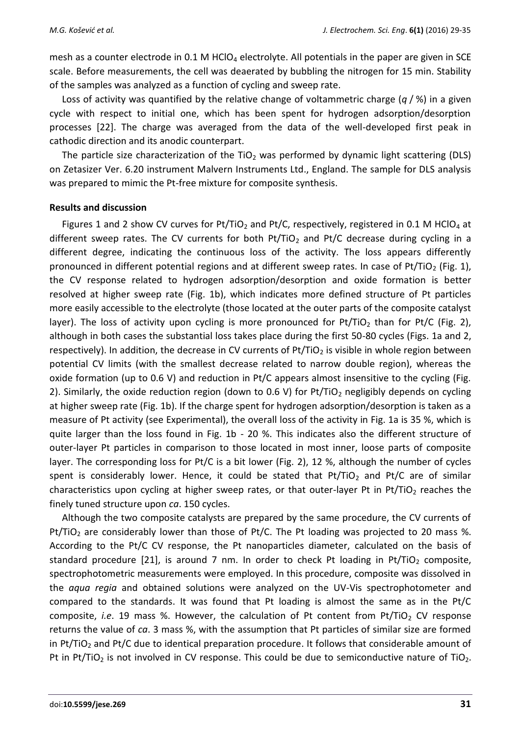mesh as a counter electrode in 0.1 M  $HClO<sub>4</sub>$  electrolyte. All potentials in the paper are given in SCE scale. Before measurements, the cell was deaerated by bubbling the nitrogen for 15 min. Stability of the samples was analyzed as a function of cycling and sweep rate.

Loss of activity was quantified by the relative change of voltammetric charge (*q* / %) in a given cycle with respect to initial one, which has been spent for hydrogen adsorption/desorption processes [22]. The charge was averaged from the data of the well-developed first peak in cathodic direction and its anodic counterpart.

The particle size characterization of the  $TiO<sub>2</sub>$  was performed by dynamic light scattering (DLS) on Zetasizer Ver. 6.20 instrument Malvern Instruments Ltd., England. The sample for DLS analysis was prepared to mimic the Pt-free mixture for composite synthesis.

#### **Results and discussion**

Figures 1 and 2 show CV curves for Pt/TiO<sub>2</sub> and Pt/C, respectively, registered in 0.1 M HClO<sub>4</sub> at different sweep rates. The CV currents for both  $Pt/TiO<sub>2</sub>$  and Pt/C decrease during cycling in a different degree, indicating the continuous loss of the activity. The loss appears differently pronounced in different potential regions and at different sweep rates. In case of Pt/TiO<sub>2</sub> (Fig. 1), the CV response related to hydrogen adsorption/desorption and oxide formation is better resolved at higher sweep rate (Fig. 1b), which indicates more defined structure of Pt particles more easily accessible to the electrolyte (those located at the outer parts of the composite catalyst layer). The loss of activity upon cycling is more pronounced for Pt/TiO<sub>2</sub> than for Pt/C (Fig. 2), although in both cases the substantial loss takes place during the first 50-80 cycles (Figs. 1a and 2, respectively). In addition, the decrease in CV currents of  $Pt/TiO<sub>2</sub>$  is visible in whole region between potential CV limits (with the smallest decrease related to narrow double region), whereas the oxide formation (up to 0.6 V) and reduction in Pt/C appears almost insensitive to the cycling (Fig. 2). Similarly, the oxide reduction region (down to 0.6 V) for Pt/TiO<sub>2</sub> negligibly depends on cycling at higher sweep rate (Fig. 1b). If the charge spent for hydrogen adsorption/desorption is taken as a measure of Pt activity (see Experimental), the overall loss of the activity in Fig. 1a is 35 %, which is quite larger than the loss found in Fig. 1b - 20 %. This indicates also the different structure of outer-layer Pt particles in comparison to those located in most inner, loose parts of composite layer. The corresponding loss for Pt/C is a bit lower (Fig. 2), 12 %, although the number of cycles spent is considerably lower. Hence, it could be stated that  $Pt/TiO<sub>2</sub>$  and Pt/C are of similar characteristics upon cycling at higher sweep rates, or that outer-layer Pt in Pt/TiO<sub>2</sub> reaches the finely tuned structure upon *ca*. 150 cycles.

Although the two composite catalysts are prepared by the same procedure, the CV currents of Pt/TiO<sub>2</sub> are considerably lower than those of Pt/C. The Pt loading was projected to 20 mass %. According to the Pt/C CV response, the Pt nanoparticles diameter, calculated on the basis of standard procedure [21], is around 7 nm. In order to check Pt loading in Pt/TiO<sub>2</sub> composite, spectrophotometric measurements were employed. In this procedure, composite was dissolved in the *aqua regia* and obtained solutions were analyzed on the UV-Vis spectrophotometer and compared to the standards. It was found that Pt loading is almost the same as in the Pt/C composite, *i.e.* 19 mass %. However, the calculation of Pt content from Pt/TiO<sub>2</sub> CV response returns the value of *ca*. 3 mass %, with the assumption that Pt particles of similar size are formed in Pt/TiO<sub>2</sub> and Pt/C due to identical preparation procedure. It follows that considerable amount of Pt in Pt/TiO<sub>2</sub> is not involved in CV response. This could be due to semiconductive nature of TiO<sub>2</sub>.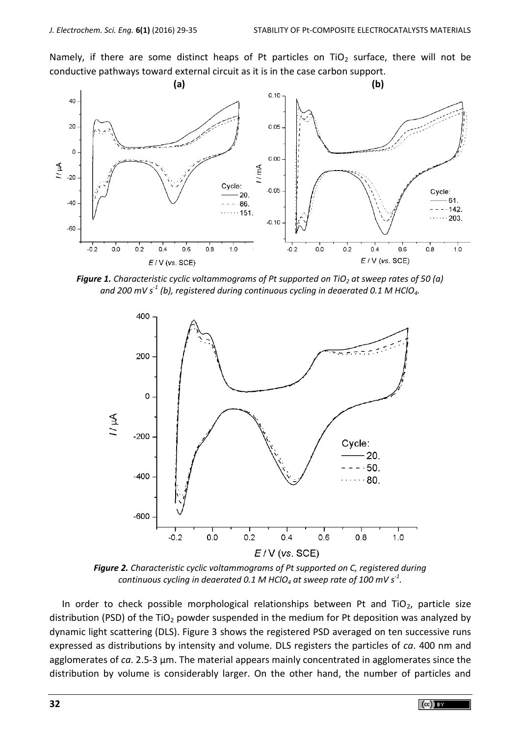Namely, if there are some distinct heaps of Pt particles on  $TiO<sub>2</sub>$  surface, there will not be conductive pathways toward external circuit as it is in the case carbon support.



*Figure 1. Characteristic cyclic voltammograms of Pt supported on TiO<sup>2</sup> at sweep rates of 50 (a) and 200 mV s-1 (b), registered during continuous cycling in deaerated 0.1 M HClO4.*



*Figure 2. Characteristic cyclic voltammograms of Pt supported on C, registered during continuous cycling in deaerated 0.1 M HClO<sup>4</sup> at sweep rate of 100 mV s-1 .*

In order to check possible morphological relationships between Pt and TiO<sub>2</sub>, particle size distribution (PSD) of the TiO<sub>2</sub> powder suspended in the medium for Pt deposition was analyzed by dynamic light scattering (DLS). Figure 3 shows the registered PSD averaged on ten successive runs expressed as distributions by intensity and volume. DLS registers the particles of *ca*. 400 nm and agglomerates of *ca*. 2.5-3 µm. The material appears mainly concentrated in agglomerates since the distribution by volume is considerably larger. On the other hand, the number of particles and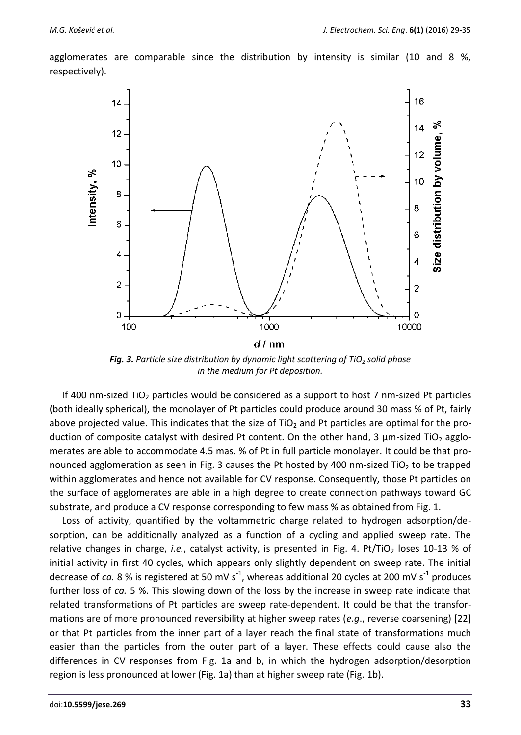agglomerates are comparable since the distribution by intensity is similar (10 and 8 %, respectively).



*Fig. 3. Particle size distribution by dynamic light scattering of TiO<sup>2</sup> solid phase in the medium for Pt deposition.*

If 400 nm-sized TiO<sub>2</sub> particles would be considered as a support to host 7 nm-sized Pt particles (both ideally spherical), the monolayer of Pt particles could produce around 30 mass % of Pt, fairly above projected value. This indicates that the size of  $TiO<sub>2</sub>$  and Pt particles are optimal for the production of composite catalyst with desired Pt content. On the other hand, 3  $\mu$ m-sized TiO<sub>2</sub> agglomerates are able to accommodate 4.5 mas. % of Pt in full particle monolayer. It could be that pronounced agglomeration as seen in Fig. 3 causes the Pt hosted by 400 nm-sized TiO<sub>2</sub> to be trapped within agglomerates and hence not available for CV response. Consequently, those Pt particles on the surface of agglomerates are able in a high degree to create connection pathways toward GC substrate, and produce a CV response corresponding to few mass % as obtained from Fig. 1.

Loss of activity, quantified by the voltammetric charge related to hydrogen adsorption/desorption, can be additionally analyzed as a function of a cycling and applied sweep rate. The relative changes in charge, *i.e.*, catalyst activity, is presented in Fig. 4. Pt/TiO<sub>2</sub> loses 10-13 % of initial activity in first 40 cycles, which appears only slightly dependent on sweep rate. The initial decrease of *ca.* 8 % is registered at 50 mV s<sup>-1</sup>, whereas additional 20 cycles at 200 mV s<sup>-1</sup> produces further loss of *ca.* 5 %. This slowing down of the loss by the increase in sweep rate indicate that related transformations of Pt particles are sweep rate-dependent. It could be that the transformations are of more pronounced reversibility at higher sweep rates (*e.g*., reverse coarsening) [22] or that Pt particles from the inner part of a layer reach the final state of transformations much easier than the particles from the outer part of a layer. These effects could cause also the differences in CV responses from Fig. 1a and b, in which the hydrogen adsorption/desorption region is less pronounced at lower (Fig. 1a) than at higher sweep rate (Fig. 1b).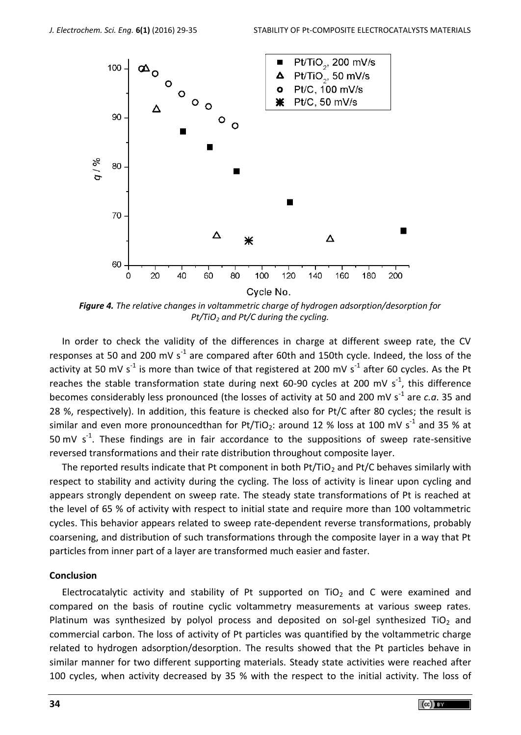

*Figure 4. The relative changes in voltammetric charge of hydrogen adsorption/desorption for Pt/TiO<sup>2</sup> and Pt/C during the cycling.*

In order to check the validity of the differences in charge at different sweep rate, the CV responses at 50 and 200 mV s<sup>-1</sup> are compared after 60th and 150th cycle. Indeed, the loss of the activity at 50 mV s<sup>-1</sup> is more than twice of that registered at 200 mV s<sup>-1</sup> after 60 cycles. As the Pt reaches the stable transformation state during next 60-90 cycles at 200 mV  $s^{-1}$ , this difference becomes considerably less pronounced (the losses of activity at 50 and 200 mV s<sup>-1</sup> are *c.a*. 35 and 28 %, respectively). In addition, this feature is checked also for Pt/C after 80 cycles; the result is similar and even more pronouncedthan for Pt/TiO<sub>2</sub>: around 12 % loss at 100 mV s<sup>-1</sup> and 35 % at 50 mV  $s^{-1}$ . These findings are in fair accordance to the suppositions of sweep rate-sensitive reversed transformations and their rate distribution throughout composite layer.

The reported results indicate that Pt component in both Pt/TiO<sub>2</sub> and Pt/C behaves similarly with respect to stability and activity during the cycling. The loss of activity is linear upon cycling and appears strongly dependent on sweep rate. The steady state transformations of Pt is reached at the level of 65 % of activity with respect to initial state and require more than 100 voltammetric cycles. This behavior appears related to sweep rate-dependent reverse transformations, probably coarsening, and distribution of such transformations through the composite layer in a way that Pt particles from inner part of a layer are transformed much easier and faster.

#### **Conclusion**

Electrocatalytic activity and stability of Pt supported on  $TiO<sub>2</sub>$  and C were examined and compared on the basis of routine cyclic voltammetry measurements at various sweep rates. Platinum was synthesized by polyol process and deposited on sol-gel synthesized TiO<sub>2</sub> and commercial carbon. The loss of activity of Pt particles was quantified by the voltammetric charge related to hydrogen adsorption/desorption. The results showed that the Pt particles behave in similar manner for two different supporting materials. Steady state activities were reached after 100 cycles, when activity decreased by 35 % with the respect to the initial activity. The loss of